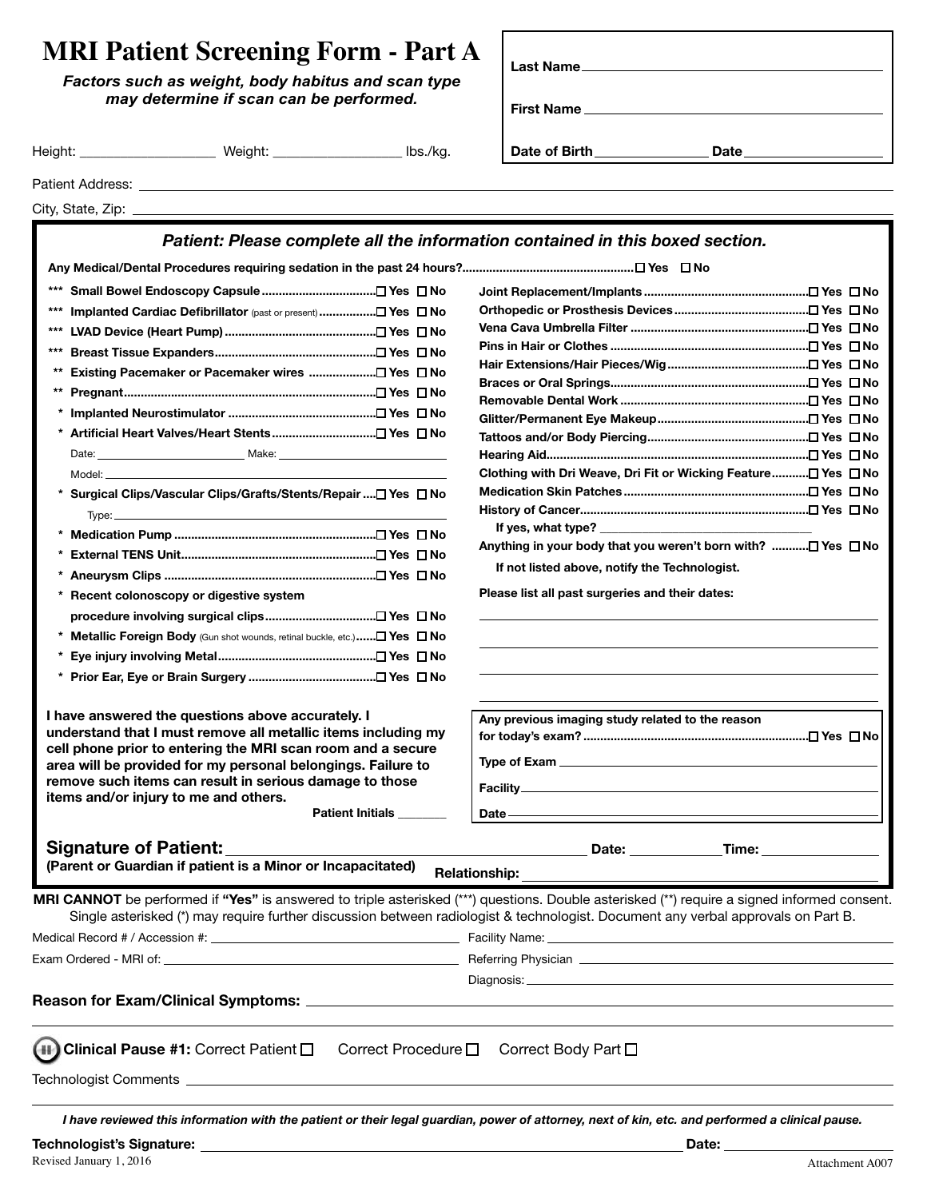## **MRI Patient Screening Form - Part A**

| <b>MRI Patient Screening Form - Part A</b><br>Factors such as weight, body habitus and scan type<br>may determine if scan can be performed. |         | <b>Last Name</b><br><b>First Name</b> |               |      |  |
|---------------------------------------------------------------------------------------------------------------------------------------------|---------|---------------------------------------|---------------|------|--|
| Height:                                                                                                                                     | Weiaht: | lbs./kg.                              | Date of Birth | Date |  |
| Patient Address:                                                                                                                            |         |                                       |               |      |  |

| City, State, Zip: |  |
|-------------------|--|

## *Patient: Please complete all the information contained in this boxed section.*

**Any Medical/Dental Procedures requiring sedation in the past 24 hours?................................................... Yes No**

| ***   |                                                                                                                                                                                                                                |  |
|-------|--------------------------------------------------------------------------------------------------------------------------------------------------------------------------------------------------------------------------------|--|
| ***   | Implanted Cardiac Defibrillator (past or present) □ Yes □ No                                                                                                                                                                   |  |
| ***   |                                                                                                                                                                                                                                |  |
| ***   |                                                                                                                                                                                                                                |  |
| $***$ |                                                                                                                                                                                                                                |  |
| **    |                                                                                                                                                                                                                                |  |
|       |                                                                                                                                                                                                                                |  |
| *     |                                                                                                                                                                                                                                |  |
|       |                                                                                                                                                                                                                                |  |
|       |                                                                                                                                                                                                                                |  |
|       | * Surgical Clips/Vascular Clips/Grafts/Stents/Repair □ Yes □ No                                                                                                                                                                |  |
|       | Type: The contract of the contract of the contract of the contract of the contract of the contract of the contract of the contract of the contract of the contract of the contract of the contract of the contract of the cont |  |
| *     |                                                                                                                                                                                                                                |  |
|       |                                                                                                                                                                                                                                |  |
| *     |                                                                                                                                                                                                                                |  |
| *     | Recent colonoscopy or digestive system                                                                                                                                                                                         |  |
|       |                                                                                                                                                                                                                                |  |
|       | <b>Metallic Foreign Body</b> (Gun shot wounds, retinal buckle, etc.) $\Box$ Yes $\Box$ No                                                                                                                                      |  |
| *     |                                                                                                                                                                                                                                |  |
|       |                                                                                                                                                                                                                                |  |
|       |                                                                                                                                                                                                                                |  |
|       |                                                                                                                                                                                                                                |  |

**I have answered the questions above accurately. I understand that I must remove all metallic items including my cell phone prior to entering the MRI scan room and a secure area will be provided for my personal belongings. Failure to remove such items can result in serious damage to those items and/or injury to me and others.**

**Patient Initials \_\_\_\_\_\_\_\_**

| Clothing with Dri Weave, Dri Fit or Wicking Feature□ Yes □ No |  |
|---------------------------------------------------------------|--|
|                                                               |  |
|                                                               |  |
|                                                               |  |
| Anything in your body that you weren't born with? ロ Yes ロ No  |  |
| If not listed above, notify the Technologist,                 |  |

**Please list all past surgeries and their dates:**

| Any previous imaging study related to the reason |
|--------------------------------------------------|
|                                                  |
|                                                  |
|                                                  |
|                                                  |
|                                                  |
| Date.                                            |

## **Signature of Patient:** <u>Date: Date: Date: Time: Time:</u> Time: 2014

**(Parent or Guardian if patient is a Minor or Incapacitated)** Relationship:

Diagnosis:

**MRI CANNOT** be performed if **"Yes"** is answered to triple asterisked (\*\*\*) questions. Double asterisked (\*\*) require a signed informed consent. Single asterisked (\*) may require further discussion between radiologist & technologist. Document any verbal approvals on Part B.

Medical Record # / Accession #: Facility Name:

Exam Ordered - MRI of: <u>Communication Communication Communication</u> Referring Physician Communication Communication

**Reason for Exam/Clinical Symptoms:**

| 11 Clinical Pause #1: Correct Patient □ Correct Procedure □ Correct Body Part □ |  |  |
|---------------------------------------------------------------------------------|--|--|
|---------------------------------------------------------------------------------|--|--|

Technologist Comments

*I have reviewed this information with the patient or their legal guardian, power of attorney, next of kin, etc. and performed a clinical pause.*

**Technologist's Signature: Date:**